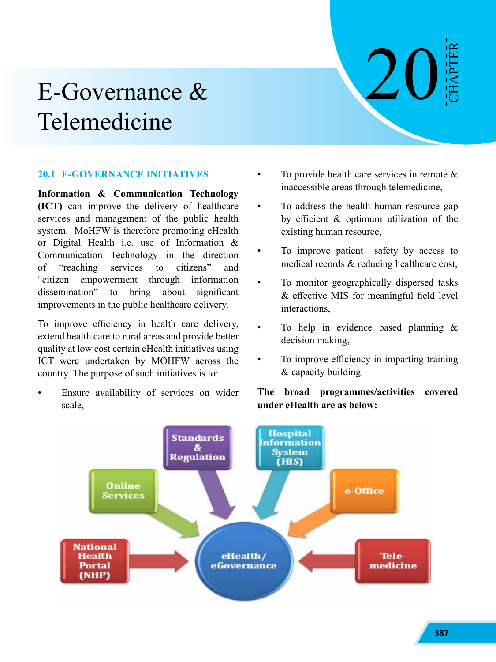# E-Governance & Telemedicine

# **20.1 E-GOVERNANCE INITIATIVES**

**Information & Communication Technology (ICT)** can improve the delivery of healthcare services and management of the public health system. MoHFW is therefore promoting eHealth or Digital Health i.e. use of Information & Communication Technology in the direction of "reaching services to citizens" and "citizen empowerment through information dissemination" to bring about significant improvements in the public healthcare delivery.

To improve efficiency in health care delivery, extend health care to rural areas and provide better quality at low cost certain eHealth initiatives using ICT were undertaken by MOHFW across the country. The purpose of such initiatives is to:

Ensure availability of services on wider scale,

To provide health care services in remote  $\&$ inaccessible areas through telemedicine,

CHAPTER

- To address the health human resource gap by efficient & optimum utilization of the existing human resource,
- To improve patient safety by access to medical records & reducing healthcare cost,
- To monitor geographically dispersed tasks & effective MIS for meaningful field level interactions,
- To help in evidence based planning & decision making,
- To improve efficiency in imparting training & capacity building.

# **The broad programmes/activities covered under eHealth are as below:**

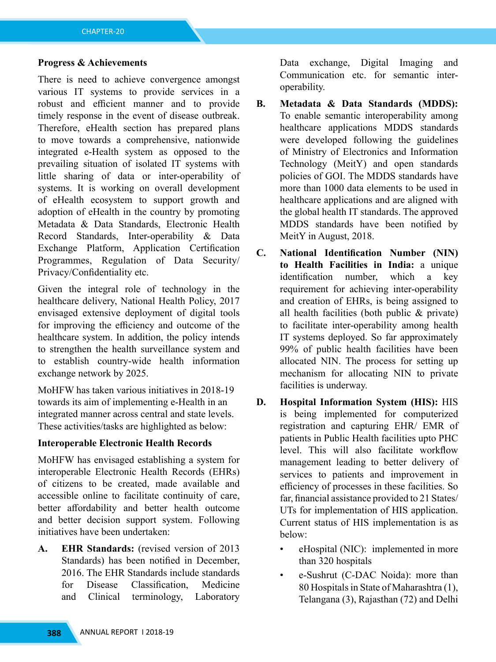#### **Progress & Achievements**

There is need to achieve convergence amongst various IT systems to provide services in a robust and efficient manner and to provide timely response in the event of disease outbreak. Therefore, eHealth section has prepared plans to move towards a comprehensive, nationwide integrated e-Health system as opposed to the prevailing situation of isolated IT systems with little sharing of data or inter-operability of systems. It is working on overall development of eHealth ecosystem to support growth and adoption of eHealth in the country by promoting Metadata & Data Standards, Electronic Health Record Standards, Inter-operability & Data Exchange Platform, Application Certification Programmes, Regulation of Data Security/ Privacy/Confidentiality etc.

Given the integral role of technology in the healthcare delivery, National Health Policy, 2017 envisaged extensive deployment of digital tools for improving the efficiency and outcome of the healthcare system. In addition, the policy intends to strengthen the health surveillance system and to establish country-wide health information exchange network by 2025.

MoHFW has taken various initiatives in 2018-19 towards its aim of implementing e-Health in an integrated manner across central and state levels. These activities/tasks are highlighted as below:

#### **Interoperable Electronic Health Records**

MoHFW has envisaged establishing a system for interoperable Electronic Health Records (EHRs) of citizens to be created, made available and accessible online to facilitate continuity of care, better affordability and better health outcome and better decision support system. Following initiatives have been undertaken:

**A. EHR Standards:** (revised version of 2013 Standards) has been notified in December, 2016. The EHR Standards include standards for Disease Classification, Medicine and Clinical terminology, Laboratory

Data exchange, Digital Imaging and Communication etc. for semantic interoperability.

- **B. Metadata & Data Standards (MDDS):** To enable semantic interoperability among healthcare applications MDDS standards were developed following the guidelines of Ministry of Electronics and Information Technology (MeitY) and open standards policies of GOI. The MDDS standards have more than 1000 data elements to be used in healthcare applications and are aligned with the global health IT standards. The approved MDDS standards have been notified by MeitY in August, 2018.
- **C. National Identification Number (NIN) to Health Facilities in India:** a unique identification number, which a key requirement for achieving inter-operability and creation of EHRs, is being assigned to all health facilities (both public & private) to facilitate inter-operability among health IT systems deployed. So far approximately 99% of public health facilities have been allocated NIN. The process for setting up mechanism for allocating NIN to private facilities is underway.
- **D. Hospital Information System (HIS):** HIS is being implemented for computerized registration and capturing EHR/ EMR of patients in Public Health facilities upto PHC level. This will also facilitate workflow management leading to better delivery of services to patients and improvement in efficiency of processes in these facilities. So far, financial assistance provided to 21 States/ UTs for implementation of HIS application. Current status of HIS implementation is as below:
	- eHospital (NIC): implemented in more than 320 hospitals
	- e-Sushrut (C-DAC Noida): more than 80 Hospitals in State of Maharashtra (1), Telangana (3), Rajasthan (72) and Delhi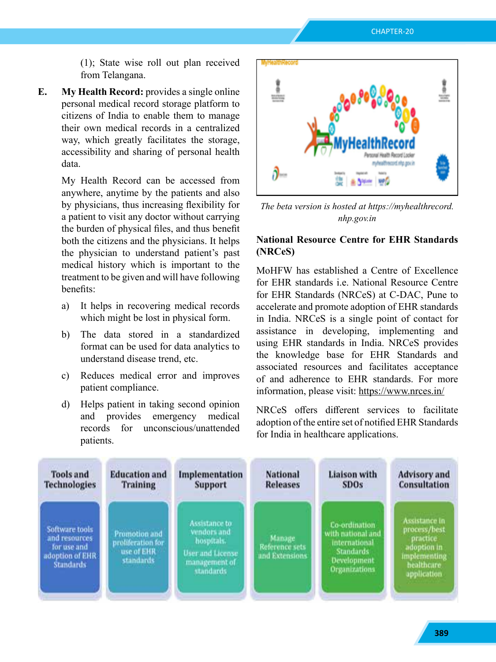(1); State wise roll out plan received from Telangana.

**E. My Health Record:** provides a single online personal medical record storage platform to citizens of India to enable them to manage their own medical records in a centralized way, which greatly facilitates the storage, accessibility and sharing of personal health data.

> My Health Record can be accessed from anywhere, anytime by the patients and also by physicians, thus increasing flexibility for a patient to visit any doctor without carrying the burden of physical files, and thus benefit both the citizens and the physicians. It helps the physician to understand patient's past medical history which is important to the treatment to be given and will have following benefits:

- a) It helps in recovering medical records which might be lost in physical form.
- b) The data stored in a standardized format can be used for data analytics to understand disease trend, etc.
- c) Reduces medical error and improves patient compliance.
- d) Helps patient in taking second opinion and provides emergency medical records for unconscious/unattended patients.



*The beta version is hosted at https://myhealthrecord. nhp.gov.in*

## **National Resource Centre for EHR Standards (NRCeS)**

MoHFW has established a Centre of Excellence for EHR standards i.e. National Resource Centre for EHR Standards (NRCeS) at C-DAC, Pune to accelerate and promote adoption of EHR standards in India. NRCeS is a single point of contact for assistance in developing, implementing and using EHR standards in India. NRCeS provides the knowledge base for EHR Standards and associated resources and facilitates acceptance of and adherence to EHR standards. For more information, please visit: https://www.nrces.in/

NRCeS offers different services to facilitate adoption of the entire set of notified EHR Standards for India in healthcare applications.

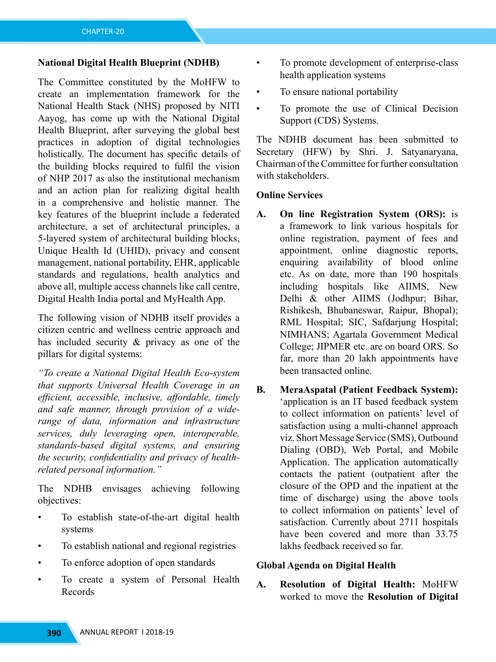#### **National Digital Health Blueprint (NDHB)**

The Committee constituted by the MoHFW to create an implementation framework for the National Health Stack (NHS) proposed by NITI Aayog, has come up with the National Digital Health Blueprint, after surveying the global best practices in adoption of digital technologies holistically. The document has specific details of the building blocks required to fulfil the vision of NHP 2017 as also the institutional mechanism and an action plan for realizing digital health in a comprehensive and holistic manner. The key features of the blueprint include a federated architecture, a set of architectural principles, a 5-layered system of architectural building blocks, Unique Health Id (UHID), privacy and consent management, national portability, EHR, applicable standards and regulations, health analytics and above all, multiple access channels like call centre, Digital Health India portal and MyHealth App.

The following vision of NDHB itself provides a citizen centric and wellness centric approach and has included security & privacy as one of the pillars for digital systems:

*"To create a National Digital Health Eco-system that supports Universal Health Coverage in an efficient, accessible, inclusive, affordable, timely and safe manner, through provision of a widerange of data, information and infrastructure services, duly leveraging open, interoperable, standards-based digital systems, and ensuring the security, confidentiality and privacy of healthrelated personal information."*

The NDHB envisages achieving following objectives:

- To establish state-of-the-art digital health systems
- To establish national and regional registries
- To enforce adoption of open standards
- To create a system of Personal Health Records
- To promote development of enterprise-class health application systems
- To ensure national portability
- To promote the use of Clinical Decision Support (CDS) Systems.

The NDHB document has been submitted to Secretary (HFW) by Shri. J. Satyanaryana, Chairman of the Committee for further consultation with stakeholders.

#### **Online Services**

- **A. On line Registration System (ORS):** is a framework to link various hospitals for online registration, payment of fees and appointment, online diagnostic reports, enquiring availability of blood online etc. As on date, more than 190 hospitals including hospitals like AIIMS, New Delhi & other AIIMS (Jodhpur; Bihar, Rishikesh, Bhubaneswar, Raipur, Bhopal); RML Hospital; SIC, Safdarjung Hospital; NIMHANS; Agartala Government Medical College; JIPMER etc. are on board ORS. So far, more than 20 lakh appointments have been transacted online.
- **B. MeraAspatal (Patient Feedback System):** 'application is an IT based feedback system to collect information on patients' level of satisfaction using a multi-channel approach viz. Short Message Service (SMS), Outbound Dialing (OBD), Web Portal, and Mobile Application. The application automatically contacts the patient (outpatient after the closure of the OPD and the inpatient at the time of discharge) using the above tools to collect information on patients' level of satisfaction. Currently about 2711 hospitals have been covered and more than 33.75 lakhs feedback received so far.

#### **Global Agenda on Digital Health**

**A. Resolution of Digital Health:** MoHFW worked to move the **Resolution of Digital**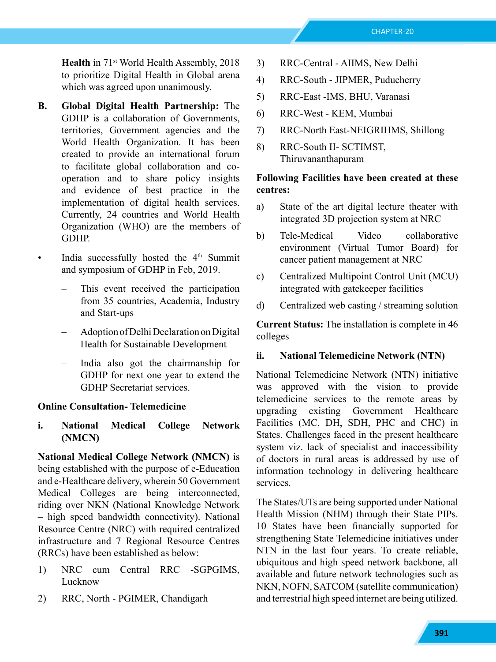**Health** in 71st World Health Assembly, 2018 to prioritize Digital Health in Global arena which was agreed upon unanimously.

- **B. Global Digital Health Partnership:** The GDHP is a collaboration of Governments, territories, Government agencies and the World Health Organization. It has been created to provide an international forum to facilitate global collaboration and cooperation and to share policy insights and evidence of best practice in the implementation of digital health services. Currently, 24 countries and World Health Organization (WHO) are the members of GDHP.
	- India successfully hosted the 4<sup>th</sup> Summit and symposium of GDHP in Feb, 2019.
		- This event received the participation from 35 countries, Academia, Industry and Start-ups
		- Adoption of Delhi Declaration on Digital Health for Sustainable Development
		- India also got the chairmanship for GDHP for next one year to extend the GDHP Secretariat services.

#### **Online Consultation- Telemedicine**

## **i. National Medical College Network (NMCN)**

**National Medical College Network (NMCN)** is being established with the purpose of e-Education and e-Healthcare delivery, wherein 50 Government Medical Colleges are being interconnected, riding over NKN (National Knowledge Network – high speed bandwidth connectivity). National Resource Centre (NRC) with required centralized infrastructure and 7 Regional Resource Centres (RRCs) have been established as below:

- 1) NRC cum Central RRC -SGPGIMS, Lucknow
- 2) RRC, North PGIMER, Chandigarh
- 3) RRC-Central AIIMS, New Delhi
- 4) RRC-South JIPMER, Puducherry
- 5) RRC-East -IMS, BHU, Varanasi
- 6) RRC-West KEM, Mumbai
- 7) RRC-North East-NEIGRIHMS, Shillong
- 8) RRC-South II- SCTIMST, Thiruvananthapuram

## **Following Facilities have been created at these centres:**

- a) State of the art digital lecture theater with integrated 3D projection system at NRC
- b) Tele-Medical Video collaborative environment (Virtual Tumor Board) for cancer patient management at NRC
- c) Centralized Multipoint Control Unit (MCU) integrated with gatekeeper facilities
- d) Centralized web casting / streaming solution

**Current Status:** The installation is complete in 46 colleges

## **ii. National Telemedicine Network (NTN)**

National Telemedicine Network (NTN) initiative was approved with the vision to provide telemedicine services to the remote areas by upgrading existing Government Healthcare Facilities (MC, DH, SDH, PHC and CHC) in States. Challenges faced in the present healthcare system viz. lack of specialist and inaccessibility of doctors in rural areas is addressed by use of information technology in delivering healthcare services.

The States/UTs are being supported under National Health Mission (NHM) through their State PIPs. 10 States have been financially supported for strengthening State Telemedicine initiatives under NTN in the last four years. To create reliable, ubiquitous and high speed network backbone, all available and future network technologies such as NKN, NOFN, SATCOM (satellite communication) and terrestrial high speed internet are being utilized.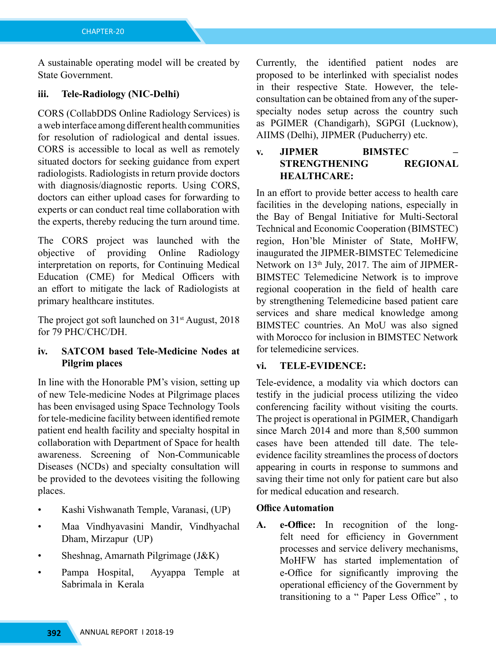A sustainable operating model will be created by State Government.

## **iii. Tele-Radiology (NIC-Delhi)**

CORS (CollabDDS Online Radiology Services) is a web interface among different health communities for resolution of radiological and dental issues. CORS is accessible to local as well as remotely situated doctors for seeking guidance from expert radiologists. Radiologists in return provide doctors with diagnosis/diagnostic reports. Using CORS, doctors can either upload cases for forwarding to experts or can conduct real time collaboration with the experts, thereby reducing the turn around time.

The CORS project was launched with the objective of providing Online Radiology interpretation on reports, for Continuing Medical Education (CME) for Medical Officers with an effort to mitigate the lack of Radiologists at primary healthcare institutes.

The project got soft launched on  $31<sup>st</sup>$  August, 2018 for 79 PHC/CHC/DH.

# **iv. SATCOM based Tele-Medicine Nodes at Pilgrim places**

In line with the Honorable PM's vision, setting up of new Tele-medicine Nodes at Pilgrimage places has been envisaged using Space Technology Tools for tele-medicine facility between identified remote patient end health facility and specialty hospital in collaboration with Department of Space for health awareness. Screening of Non-Communicable Diseases (NCDs) and specialty consultation will be provided to the devotees visiting the following places.

- Kashi Vishwanath Temple, Varanasi, (UP)
- Maa Vindhyavasini Mandir, Vindhyachal Dham, Mirzapur (UP)
- Sheshnag, Amarnath Pilgrimage (J&K)
- Pampa Hospital, Ayyappa Temple at Sabrimala in Kerala

Currently, the identified patient nodes are proposed to be interlinked with specialist nodes in their respective State. However, the teleconsultation can be obtained from any of the superspecialty nodes setup across the country such as PGIMER (Chandigarh), SGPGI (Lucknow), AIIMS (Delhi), JIPMER (Puducherry) etc.

## **v. JIPMER BIMSTEC – STRENGTHENING REGIONAL HEALTHCARE:**

In an effort to provide better access to health care facilities in the developing nations, especially in the Bay of Bengal Initiative for Multi-Sectoral Technical and Economic Cooperation (BIMSTEC) region, Hon'ble Minister of State, MoHFW, inaugurated the JIPMER-BIMSTEC Telemedicine Network on 13<sup>th</sup> July, 2017. The aim of JIPMER-BIMSTEC Telemedicine Network is to improve regional cooperation in the field of health care by strengthening Telemedicine based patient care services and share medical knowledge among BIMSTEC countries. An MoU was also signed with Morocco for inclusion in BIMSTEC Network for telemedicine services.

#### **vi. TELE-EVIDENCE:**

Tele-evidence, a modality via which doctors can testify in the judicial process utilizing the video conferencing facility without visiting the courts. The project is operational in PGIMER, Chandigarh since March 2014 and more than 8,500 summon cases have been attended till date. The teleevidence facility streamlines the process of doctors appearing in courts in response to summons and saving their time not only for patient care but also for medical education and research.

## **Office Automation**

**A. e-Office:** In recognition of the longfelt need for efficiency in Government processes and service delivery mechanisms, MoHFW has started implementation of e-Office for significantly improving the operational efficiency of the Government by transitioning to a " Paper Less Office" , to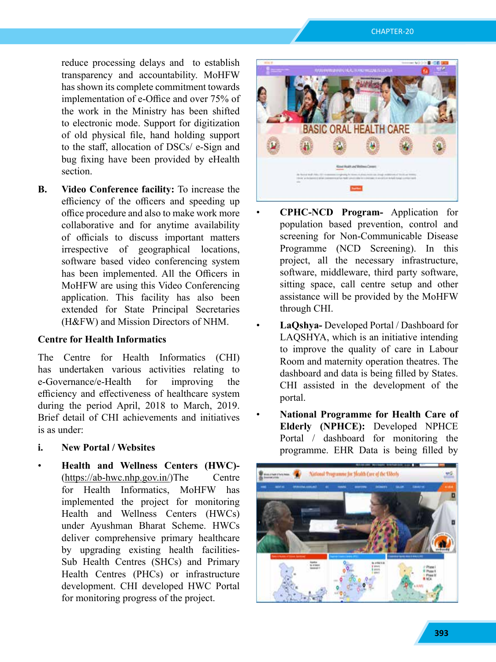reduce processing delays and to establish transparency and accountability. MoHFW has shown its complete commitment towards implementation of e-Office and over 75% of the work in the Ministry has been shifted to electronic mode. Support for digitization of old physical file, hand holding support to the staff, allocation of DSCs/ e-Sign and bug fixing have been provided by eHealth section.

**B. Video Conference facility:** To increase the efficiency of the officers and speeding up office procedure and also to make work more collaborative and for anytime availability of officials to discuss important matters irrespective of geographical locations, software based video conferencing system has been implemented. All the Officers in MoHFW are using this Video Conferencing application. This facility has also been extended for State Principal Secretaries (H&FW) and Mission Directors of NHM.

#### **Centre for Health Informatics**

The Centre for Health Informatics (CHI) has undertaken various activities relating to e-Governance/e-Health for improving the efficiency and effectiveness of healthcare system during the period April, 2018 to March, 2019. Brief detail of CHI achievements and initiatives is as under:

- **i. New Portal / Websites**
- **Health and Wellness Centers (HWC)-** (https://ab-hwc.nhp.gov.in/)The Centre for Health Informatics, MoHFW has implemented the project for monitoring Health and Wellness Centers (HWCs) under Ayushman Bharat Scheme. HWCs deliver comprehensive primary healthcare by upgrading existing health facilities-Sub Health Centres (SHCs) and Primary Health Centres (PHCs) or infrastructure development. CHI developed HWC Portal for monitoring progress of the project.



- **CPHC-NCD Program-** Application for population based prevention, control and screening for Non-Communicable Disease Programme (NCD Screening). In this project, all the necessary infrastructure, software, middleware, third party software, sitting space, call centre setup and other assistance will be provided by the MoHFW through CHI.
- **LaQshya-** Developed Portal / Dashboard for LAQSHYA, which is an initiative intending to improve the quality of care in Labour Room and maternity operation theatres. The dashboard and data is being filled by States. CHI assisted in the development of the portal.
- **National Programme for Health Care of Elderly (NPHCE):** Developed NPHCE Portal / dashboard for monitoring the programme. EHR Data is being filled by

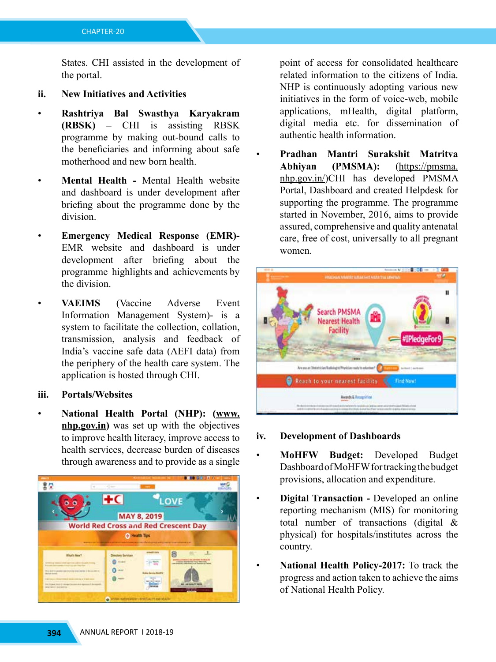States. CHI assisted in the development of the portal.

- **ii. New Initiatives and Activities**
- **Rashtriya Bal Swasthya Karyakram (RBSK) –** CHI is assisting RBSK programme by making out-bound calls to the beneficiaries and informing about safe motherhood and new born health.
- **Mental Health -** Mental Health website and dashboard is under development after briefing about the programme done by the division.
- **Emergency Medical Response (EMR)-** EMR website and dashboard is under development after briefing about the programme highlights and achievements by the division.
- **VAEIMS** (Vaccine Adverse Event Information Management System)- is a system to facilitate the collection, collation, transmission, analysis and feedback of India's vaccine safe data (AEFI data) from the periphery of the health care system. The application is hosted through CHI.

## **iii. Portals/Websites**

• **National Health Portal (NHP): (www. nhp.gov.in)** was set up with the objectives to improve health literacy, improve access to health services, decrease burden of diseases through awareness and to provide as a single



point of access for consolidated healthcare related information to the citizens of India. NHP is continuously adopting various new initiatives in the form of voice-web, mobile applications, mHealth, digital platform, digital media etc. for dissemination of authentic health information.

• **Pradhan Mantri Surakshit Matritva Abhiyan (PMSMA):** (https://pmsma. nhp.gov.in/)CHI has developed PMSMA Portal, Dashboard and created Helpdesk for supporting the programme. The programme started in November, 2016, aims to provide assured, comprehensive and quality antenatal care, free of cost, universally to all pregnant women.



## **iv. Development of Dashboards**

- **MoHFW Budget:** Developed Budget Dashboard of MoHFW for tracking the budget provisions, allocation and expenditure.
- **Digital Transaction -** Developed an online reporting mechanism (MIS) for monitoring total number of transactions (digital & physical) for hospitals/institutes across the country.
- **National Health Policy-2017:** To track the progress and action taken to achieve the aims of National Health Policy.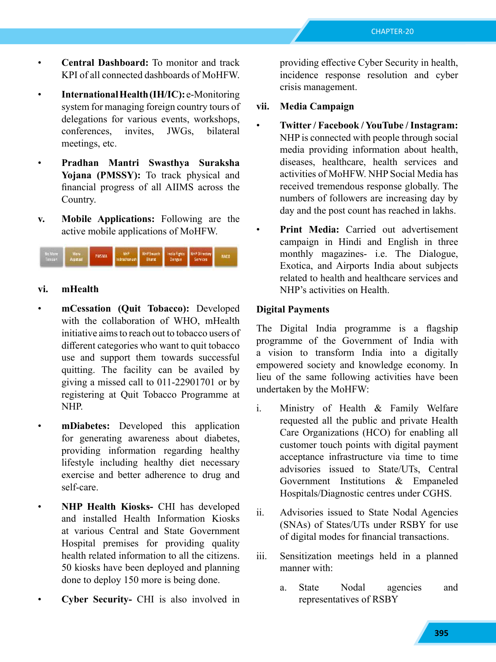- **Central Dashboard:** To monitor and track KPI of all connected dashboards of MoHFW.
- **International Health (IH/IC):** e-Monitoring system for managing foreign country tours of delegations for various events, workshops, conferences, invites, JWGs, bilateral meetings, etc.
- **Pradhan Mantri Swasthya Suraksha Yojana (PMSSY):** To track physical and financial progress of all AIIMS across the Country.
- **v. Mobile Applications:** Following are the active mobile applications of MoHFW.



## **vi. mHealth**

- **mCessation (Quit Tobacco):** Developed with the collaboration of WHO, mHealth initiative aims to reach out to tobacco users of different categories who want to quit tobacco use and support them towards successful quitting. The facility can be availed by giving a missed call to 011-22901701 or by registering at Quit Tobacco Programme at NHP.
	- **mDiabetes:** Developed this application for generating awareness about diabetes, providing information regarding healthy lifestyle including healthy diet necessary exercise and better adherence to drug and self-care.
	- **NHP Health Kiosks-** CHI has developed and installed Health Information Kiosks at various Central and State Government Hospital premises for providing quality health related information to all the citizens. 50 kiosks have been deployed and planning done to deploy 150 more is being done.
	- **Cyber Security-** CHI is also involved in

providing effective Cyber Security in health, incidence response resolution and cyber crisis management.

#### **vii. Media Campaign**

- **Twitter / Facebook / YouTube / Instagram:** NHP is connected with people through social media providing information about health, diseases, healthcare, health services and activities of MoHFW. NHP Social Media has received tremendous response globally. The numbers of followers are increasing day by day and the post count has reached in lakhs.
- **Print Media:** Carried out advertisement campaign in Hindi and English in three monthly magazines- i.e. The Dialogue, Exotica, and Airports India about subjects related to health and healthcare services and NHP's activities on Health.

## **Digital Payments**

The Digital India programme is a flagship programme of the Government of India with a vision to transform India into a digitally empowered society and knowledge economy. In lieu of the same following activities have been undertaken by the MoHFW:

- i. Ministry of Health & Family Welfare requested all the public and private Health Care Organizations (HCO) for enabling all customer touch points with digital payment acceptance infrastructure via time to time advisories issued to State/UTs, Central Government Institutions & Empaneled Hospitals/Diagnostic centres under CGHS.
- ii. Advisories issued to State Nodal Agencies (SNAs) of States/UTs under RSBY for use of digital modes for financial transactions.
- iii. Sensitization meetings held in a planned manner with:
	- a. State Nodal agencies and representatives of RSBY